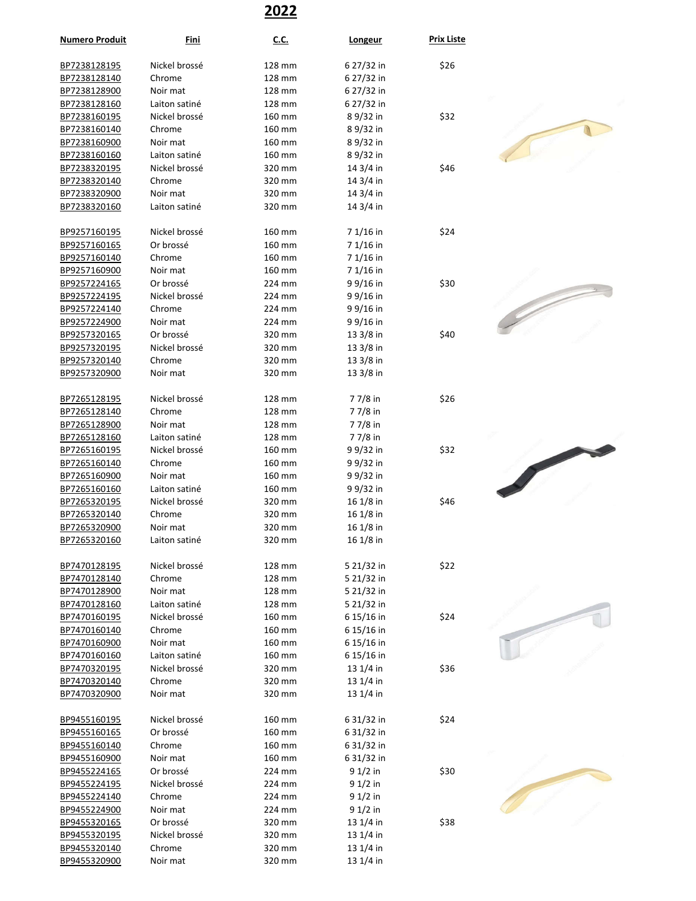## **2022**

| <b>Numero Produit</b> | <u>Fini</u>   | <u>C.C.</u> | <b>Longeur</b> | <b>Prix Liste</b> |  |
|-----------------------|---------------|-------------|----------------|-------------------|--|
| BP7238128195          | Nickel brossé | 128 mm      | 6 27/32 in     | \$26              |  |
| BP7238128140          | Chrome        | 128 mm      | 6 27/32 in     |                   |  |
| BP7238128900          | Noir mat      | 128 mm      | 6 27/32 in     |                   |  |
| BP7238128160          | Laiton satiné | 128 mm      | 6 27/32 in     |                   |  |
| BP7238160195          | Nickel brossé | 160 mm      | 89/32 in       | \$32              |  |
| BP7238160140          | Chrome        | 160 mm      | 89/32 in       |                   |  |
| BP7238160900          | Noir mat      | 160 mm      | 89/32 in       |                   |  |
| BP7238160160          | Laiton satiné | 160 mm      | 89/32 in       |                   |  |
| BP7238320195          | Nickel brossé | 320 mm      | 14 3/4 in      | \$46              |  |
| BP7238320140          | Chrome        | 320 mm      | 14 3/4 in      |                   |  |
| BP7238320900          | Noir mat      | 320 mm      | $143/4$ in     |                   |  |
|                       | Laiton satiné | 320 mm      | $143/4$ in     |                   |  |
| BP7238320160          |               |             |                |                   |  |
| BP9257160195          | Nickel brossé | 160 mm      | 7 1/16 in      | \$24              |  |
| BP9257160165          | Or brossé     | 160 mm      | 7 1/16 in      |                   |  |
| BP9257160140          | Chrome        | 160 mm      | 7 1/16 in      |                   |  |
| BP9257160900          | Noir mat      | 160 mm      | 7 1/16 in      |                   |  |
| BP9257224165          | Or brossé     | 224 mm      | 9 9/16 in      | \$30              |  |
| BP9257224195          | Nickel brossé | 224 mm      | 9 9/16 in      |                   |  |
| BP9257224140          | Chrome        | 224 mm      | 9 9/16 in      |                   |  |
| BP9257224900          | Noir mat      | 224 mm      | 9 9/16 in      |                   |  |
| BP9257320165          | Or brossé     | 320 mm      | 13 3/8 in      | \$40              |  |
| BP9257320195          | Nickel brossé | 320 mm      | $133/8$ in     |                   |  |
| BP9257320140          | Chrome        | 320 mm      | $133/8$ in     |                   |  |
| BP9257320900          | Noir mat      | 320 mm      | 13 3/8 in      |                   |  |
|                       |               |             |                |                   |  |
| BP7265128195          | Nickel brossé | 128 mm      | 77/8 in        | \$26              |  |
| BP7265128140          | Chrome        | 128 mm      | 77/8 in        |                   |  |
| BP7265128900          | Noir mat      | 128 mm      | 77/8 in        |                   |  |
| BP7265128160          | Laiton satiné | 128 mm      | 7 7/8 in       |                   |  |
| BP7265160195          | Nickel brossé | 160 mm      | 9 9/32 in      | \$32              |  |
| BP7265160140          | Chrome        | 160 mm      | 9 9/32 in      |                   |  |
| BP7265160900          | Noir mat      | 160 mm      | 9 9/32 in      |                   |  |
| BP7265160160          | Laiton satiné | 160 mm      | 9 9/32 in      |                   |  |
| BP7265320195          | Nickel brossé | 320 mm      | $161/8$ in     | \$46              |  |
| BP7265320140          | Chrome        | 320 mm      | 16 1/8 in      |                   |  |
| BP7265320900          | Noir mat      | 320 mm      | $161/8$ in     |                   |  |
| BP7265320160          | Laiton satiné | 320 mm      | 16 1/8 in      |                   |  |
|                       |               |             |                |                   |  |
| BP7470128195          | Nickel brossé | 128 mm      | 5 21/32 in     | \$22              |  |
| BP7470128140          | Chrome        | 128 mm      | 5 21/32 in     |                   |  |
| BP7470128900          | Noir mat      | 128 mm      | 5 21/32 in     |                   |  |
| BP7470128160          | Laiton satiné | 128 mm      | 5 21/32 in     |                   |  |
| BP7470160195          | Nickel brossé | 160 mm      | 6 15/16 in     | \$24              |  |
| BP7470160140          | Chrome        | 160 mm      | 6 15/16 in     |                   |  |
| BP7470160900          | Noir mat      | 160 mm      | 6 15/16 in     |                   |  |
| BP7470160160          | Laiton satiné | 160 mm      | 6 15/16 in     |                   |  |
| BP7470320195          | Nickel brossé | 320 mm      | $131/4$ in     | \$36              |  |
| BP7470320140          | Chrome        | 320 mm      | $131/4$ in     |                   |  |
| BP7470320900          | Noir mat      | 320 mm      | $131/4$ in     |                   |  |
| BP9455160195          | Nickel brossé | 160 mm      | 6 31/32 in     | \$24              |  |
|                       | Or brossé     | 160 mm      |                |                   |  |
| BP9455160165          |               |             | 6 31/32 in     |                   |  |
| BP9455160140          | Chrome        | 160 mm      | 6 31/32 in     |                   |  |
| BP9455160900          | Noir mat      | 160 mm      | 6 31/32 in     |                   |  |
| BP9455224165          | Or brossé     | 224 mm      | $91/2$ in      | \$30              |  |
| BP9455224195          | Nickel brossé | 224 mm      | 91/2 in        |                   |  |
| BP9455224140          | Chrome        | 224 mm      | $91/2$ in      |                   |  |
| BP9455224900          | Noir mat      | 224 mm      | $91/2$ in      |                   |  |
| BP9455320165          | Or brossé     | 320 mm      | 13 1/4 in      | \$38              |  |
| BP9455320195          | Nickel brossé | 320 mm      | $131/4$ in     |                   |  |
| BP9455320140          | Chrome        | 320 mm      | $131/4$ in     |                   |  |
| BP9455320900          | Noir mat      | 320 mm      | $131/4$ in     |                   |  |